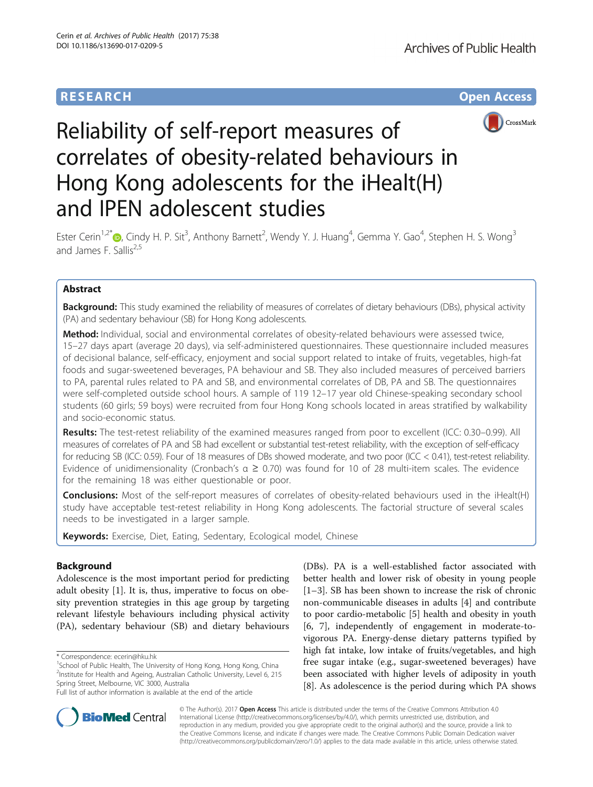## **RESEARCH CHE Open Access**



# Reliability of self-report measures of correlates of obesity-related behaviours in Hong Kong adolescents for the iHealt(H) and IPEN adolescent studies

Ester Cerin<sup>1,2[\\*](http://orcid.org/0000-0002-7599-165X)</sup>®, Cindy H. P. Sit<sup>3</sup>, Anthony Barnett<sup>2</sup>, Wendy Y. J. Huang<sup>4</sup>, Gemma Y. Gao<sup>4</sup>, Stephen H. S. Wong<sup>3</sup> and James F. Sallis<sup>2,5</sup>

## Abstract

**Background:** This study examined the reliability of measures of correlates of dietary behaviours (DBs), physical activity (PA) and sedentary behaviour (SB) for Hong Kong adolescents.

Method: Individual, social and environmental correlates of obesity-related behaviours were assessed twice, 15–27 days apart (average 20 days), via self-administered questionnaires. These questionnaire included measures of decisional balance, self-efficacy, enjoyment and social support related to intake of fruits, vegetables, high-fat foods and sugar-sweetened beverages, PA behaviour and SB. They also included measures of perceived barriers to PA, parental rules related to PA and SB, and environmental correlates of DB, PA and SB. The questionnaires were self-completed outside school hours. A sample of 119 12–17 year old Chinese-speaking secondary school students (60 girls; 59 boys) were recruited from four Hong Kong schools located in areas stratified by walkability and socio-economic status.

Results: The test-retest reliability of the examined measures ranged from poor to excellent (ICC: 0.30–0.99). All measures of correlates of PA and SB had excellent or substantial test-retest reliability, with the exception of self-efficacy for reducing SB (ICC: 0.59). Four of 18 measures of DBs showed moderate, and two poor (ICC < 0.41), test-retest reliability. Evidence of unidimensionality (Cronbach's α ≥ 0.70) was found for 10 of 28 multi-item scales. The evidence for the remaining 18 was either questionable or poor.

Conclusions: Most of the self-report measures of correlates of obesity-related behaviours used in the iHealt(H) study have acceptable test-retest reliability in Hong Kong adolescents. The factorial structure of several scales needs to be investigated in a larger sample.

Keywords: Exercise, Diet, Eating, Sedentary, Ecological model, Chinese

## Background

Adolescence is the most important period for predicting adult obesity [[1\]](#page-11-0). It is, thus, imperative to focus on obesity prevention strategies in this age group by targeting relevant lifestyle behaviours including physical activity (PA), sedentary behaviour (SB) and dietary behaviours

(DBs). PA is a well-established factor associated with better health and lower risk of obesity in young people [[1](#page-11-0)–[3\]](#page-11-0). SB has been shown to increase the risk of chronic non-communicable diseases in adults [\[4](#page-11-0)] and contribute to poor cardio-metabolic [\[5\]](#page-11-0) health and obesity in youth [[6, 7\]](#page-11-0), independently of engagement in moderate-tovigorous PA. Energy-dense dietary patterns typified by high fat intake, low intake of fruits/vegetables, and high free sugar intake (e.g., sugar-sweetened beverages) have been associated with higher levels of adiposity in youth [[8\]](#page-11-0). As adolescence is the period during which PA shows



© The Author(s). 2017 **Open Access** This article is distributed under the terms of the Creative Commons Attribution 4.0 International License [\(http://creativecommons.org/licenses/by/4.0/](http://creativecommons.org/licenses/by/4.0/)), which permits unrestricted use, distribution, and reproduction in any medium, provided you give appropriate credit to the original author(s) and the source, provide a link to the Creative Commons license, and indicate if changes were made. The Creative Commons Public Domain Dedication waiver [\(http://creativecommons.org/publicdomain/zero/1.0/](http://creativecommons.org/publicdomain/zero/1.0/)) applies to the data made available in this article, unless otherwise stated.

<sup>\*</sup> Correspondence: [ecerin@hku.hk](mailto:ecerin@hku.hk) <sup>1</sup>

<sup>&</sup>lt;sup>1</sup>School of Public Health, The University of Hong Kong, Hong Kong, China 2 Institute for Health and Ageing, Australian Catholic University, Level 6, 215 Spring Street, Melbourne, VIC 3000, Australia

Full list of author information is available at the end of the article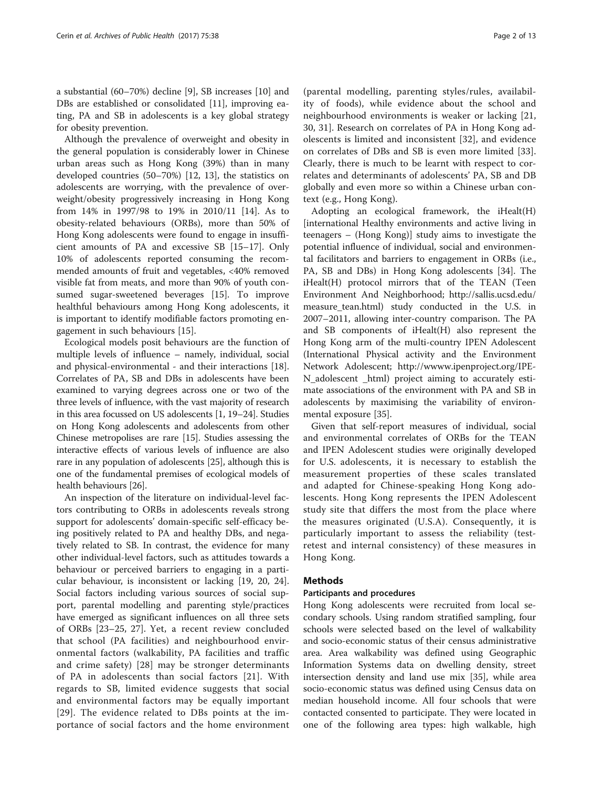a substantial (60–70%) decline [[9](#page-11-0)], SB increases [\[10](#page-11-0)] and DBs are established or consolidated [\[11](#page-11-0)], improving eating, PA and SB in adolescents is a key global strategy for obesity prevention.

Although the prevalence of overweight and obesity in the general population is considerably lower in Chinese urban areas such as Hong Kong (39%) than in many developed countries (50–70%) [\[12](#page-11-0), [13](#page-11-0)], the statistics on adolescents are worrying, with the prevalence of overweight/obesity progressively increasing in Hong Kong from 14% in 1997/98 to 19% in 2010/11 [[14\]](#page-11-0). As to obesity-related behaviours (ORBs), more than 50% of Hong Kong adolescents were found to engage in insufficient amounts of PA and excessive SB [\[15](#page-11-0)–[17\]](#page-11-0). Only 10% of adolescents reported consuming the recommended amounts of fruit and vegetables, <40% removed visible fat from meats, and more than 90% of youth consumed sugar-sweetened beverages [\[15](#page-11-0)]. To improve healthful behaviours among Hong Kong adolescents, it is important to identify modifiable factors promoting engagement in such behaviours [[15\]](#page-11-0).

Ecological models posit behaviours are the function of multiple levels of influence – namely, individual, social and physical-environmental - and their interactions [\[18](#page-11-0)]. Correlates of PA, SB and DBs in adolescents have been examined to varying degrees across one or two of the three levels of influence, with the vast majority of research in this area focussed on US adolescents [\[1](#page-11-0), [19](#page-11-0)–[24\]](#page-12-0). Studies on Hong Kong adolescents and adolescents from other Chinese metropolises are rare [\[15](#page-11-0)]. Studies assessing the interactive effects of various levels of influence are also rare in any population of adolescents [\[25\]](#page-12-0), although this is one of the fundamental premises of ecological models of health behaviours [[26](#page-12-0)].

An inspection of the literature on individual-level factors contributing to ORBs in adolescents reveals strong support for adolescents' domain-specific self-efficacy being positively related to PA and healthy DBs, and negatively related to SB. In contrast, the evidence for many other individual-level factors, such as attitudes towards a behaviour or perceived barriers to engaging in a particular behaviour, is inconsistent or lacking [\[19](#page-11-0), [20,](#page-11-0) [24](#page-12-0)]. Social factors including various sources of social support, parental modelling and parenting style/practices have emerged as significant influences on all three sets of ORBs [\[23](#page-12-0)–[25](#page-12-0), [27](#page-12-0)]. Yet, a recent review concluded that school (PA facilities) and neighbourhood environmental factors (walkability, PA facilities and traffic and crime safety) [[28\]](#page-12-0) may be stronger determinants of PA in adolescents than social factors [[21\]](#page-12-0). With regards to SB, limited evidence suggests that social and environmental factors may be equally important [[29](#page-12-0)]. The evidence related to DBs points at the importance of social factors and the home environment

(parental modelling, parenting styles/rules, availability of foods), while evidence about the school and neighbourhood environments is weaker or lacking [\[21](#page-12-0), [30, 31](#page-12-0)]. Research on correlates of PA in Hong Kong adolescents is limited and inconsistent [[32\]](#page-12-0), and evidence on correlates of DBs and SB is even more limited [\[33](#page-12-0)]. Clearly, there is much to be learnt with respect to correlates and determinants of adolescents' PA, SB and DB globally and even more so within a Chinese urban context (e.g., Hong Kong).

Adopting an ecological framework, the iHealt(H) [international Healthy environments and active living in teenagers – (Hong Kong)] study aims to investigate the potential influence of individual, social and environmental facilitators and barriers to engagement in ORBs (i.e., PA, SB and DBs) in Hong Kong adolescents [[34\]](#page-12-0). The iHealt(H) protocol mirrors that of the TEAN (Teen Environment And Neighborhood; [http://sallis.ucsd.edu/](http://sallis.ucsd.edu/measure_tean.html) [measure\\_tean.html](http://sallis.ucsd.edu/measure_tean.html)) study conducted in the U.S. in 2007–2011, allowing inter-country comparison. The PA and SB components of iHealt(H) also represent the Hong Kong arm of the multi-country IPEN Adolescent (International Physical activity and the Environment Network Adolescent; [http://wwww.ipenproject.org/IPE-](http://wwww.ipenproject.org/IPEN_adolescent)[N\\_adolescent](http://wwww.ipenproject.org/IPEN_adolescent) \_html) project aiming to accurately estimate associations of the environment with PA and SB in adolescents by maximising the variability of environmental exposure [[35](#page-12-0)].

Given that self-report measures of individual, social and environmental correlates of ORBs for the TEAN and IPEN Adolescent studies were originally developed for U.S. adolescents, it is necessary to establish the measurement properties of these scales translated and adapted for Chinese-speaking Hong Kong adolescents. Hong Kong represents the IPEN Adolescent study site that differs the most from the place where the measures originated (U.S.A). Consequently, it is particularly important to assess the reliability (testretest and internal consistency) of these measures in Hong Kong.

## Methods

## Participants and procedures

Hong Kong adolescents were recruited from local secondary schools. Using random stratified sampling, four schools were selected based on the level of walkability and socio-economic status of their census administrative area. Area walkability was defined using Geographic Information Systems data on dwelling density, street intersection density and land use mix [\[35](#page-12-0)], while area socio-economic status was defined using Census data on median household income. All four schools that were contacted consented to participate. They were located in one of the following area types: high walkable, high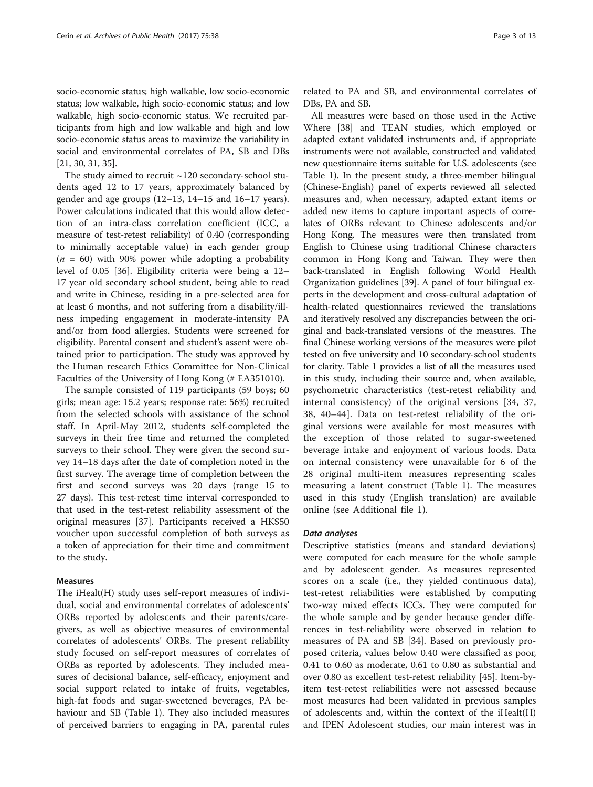socio-economic status; high walkable, low socio-economic status; low walkable, high socio-economic status; and low walkable, high socio-economic status. We recruited participants from high and low walkable and high and low socio-economic status areas to maximize the variability in social and environmental correlates of PA, SB and DBs [[21](#page-12-0), [30, 31](#page-12-0), [35](#page-12-0)].

The study aimed to recruit  $\sim$ 120 secondary-school students aged 12 to 17 years, approximately balanced by gender and age groups (12–13, 14–15 and 16–17 years). Power calculations indicated that this would allow detection of an intra-class correlation coefficient (ICC, a measure of test-retest reliability) of 0.40 (corresponding to minimally acceptable value) in each gender group  $(n = 60)$  with 90% power while adopting a probability level of 0.05 [[36\]](#page-12-0). Eligibility criteria were being a 12– 17 year old secondary school student, being able to read and write in Chinese, residing in a pre-selected area for at least 6 months, and not suffering from a disability/illness impeding engagement in moderate-intensity PA and/or from food allergies. Students were screened for eligibility. Parental consent and student's assent were obtained prior to participation. The study was approved by the Human research Ethics Committee for Non-Clinical Faculties of the University of Hong Kong (# EA351010).

The sample consisted of 119 participants (59 boys; 60 girls; mean age: 15.2 years; response rate: 56%) recruited from the selected schools with assistance of the school staff. In April-May 2012, students self-completed the surveys in their free time and returned the completed surveys to their school. They were given the second survey 14–18 days after the date of completion noted in the first survey. The average time of completion between the first and second surveys was 20 days (range 15 to 27 days). This test-retest time interval corresponded to that used in the test-retest reliability assessment of the original measures [\[37](#page-12-0)]. Participants received a HK\$50 voucher upon successful completion of both surveys as a token of appreciation for their time and commitment to the study.

## Measures

The iHealt(H) study uses self-report measures of individual, social and environmental correlates of adolescents' ORBs reported by adolescents and their parents/caregivers, as well as objective measures of environmental correlates of adolescents' ORBs. The present reliability study focused on self-report measures of correlates of ORBs as reported by adolescents. They included measures of decisional balance, self-efficacy, enjoyment and social support related to intake of fruits, vegetables, high-fat foods and sugar-sweetened beverages, PA behaviour and SB (Table [1\)](#page-3-0). They also included measures of perceived barriers to engaging in PA, parental rules

related to PA and SB, and environmental correlates of DBs, PA and SB.

All measures were based on those used in the Active Where [\[38\]](#page-12-0) and TEAN studies, which employed or adapted extant validated instruments and, if appropriate instruments were not available, constructed and validated new questionnaire items suitable for U.S. adolescents (see Table [1](#page-3-0)). In the present study, a three-member bilingual (Chinese-English) panel of experts reviewed all selected measures and, when necessary, adapted extant items or added new items to capture important aspects of correlates of ORBs relevant to Chinese adolescents and/or Hong Kong. The measures were then translated from English to Chinese using traditional Chinese characters common in Hong Kong and Taiwan. They were then back-translated in English following World Health Organization guidelines [\[39\]](#page-12-0). A panel of four bilingual experts in the development and cross-cultural adaptation of health-related questionnaires reviewed the translations and iteratively resolved any discrepancies between the original and back-translated versions of the measures. The final Chinese working versions of the measures were pilot tested on five university and 10 secondary-school students for clarity. Table [1](#page-3-0) provides a list of all the measures used in this study, including their source and, when available, psychometric characteristics (test-retest reliability and internal consistency) of the original versions [\[34](#page-12-0), [37](#page-12-0), [38, 40](#page-12-0)–[44](#page-12-0)]. Data on test-retest reliability of the original versions were available for most measures with the exception of those related to sugar-sweetened beverage intake and enjoyment of various foods. Data on internal consistency were unavailable for 6 of the 28 original multi-item measures representing scales measuring a latent construct (Table [1\)](#page-3-0). The measures used in this study (English translation) are available online (see Additional file [1](#page-11-0)).

## Data analyses

Descriptive statistics (means and standard deviations) were computed for each measure for the whole sample and by adolescent gender. As measures represented scores on a scale (i.e., they yielded continuous data), test-retest reliabilities were established by computing two-way mixed effects ICCs. They were computed for the whole sample and by gender because gender differences in test-reliability were observed in relation to measures of PA and SB [[34\]](#page-12-0). Based on previously proposed criteria, values below 0.40 were classified as poor, 0.41 to 0.60 as moderate, 0.61 to 0.80 as substantial and over 0.80 as excellent test-retest reliability [[45](#page-12-0)]. Item-byitem test-retest reliabilities were not assessed because most measures had been validated in previous samples of adolescents and, within the context of the iHealt(H) and IPEN Adolescent studies, our main interest was in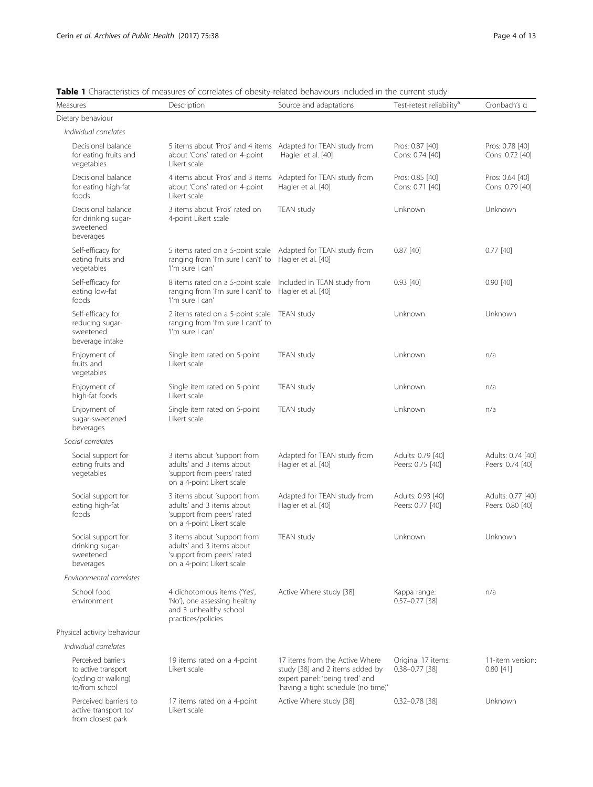| Measures                                                                            | Description                                                                                                                               | Source and adaptations                                                                                                                      | Test-retest reliability <sup>a</sup>     | Cronbach's a                          |
|-------------------------------------------------------------------------------------|-------------------------------------------------------------------------------------------------------------------------------------------|---------------------------------------------------------------------------------------------------------------------------------------------|------------------------------------------|---------------------------------------|
| Dietary behaviour                                                                   |                                                                                                                                           |                                                                                                                                             |                                          |                                       |
| Individual correlates                                                               |                                                                                                                                           |                                                                                                                                             |                                          |                                       |
| Decisional balance<br>for eating fruits and<br>vegetables                           | 5 items about 'Pros' and 4 items Adapted for TEAN study from<br>about 'Cons' rated on 4-point<br>Likert scale                             | Hagler et al. [40]                                                                                                                          | Pros: 0.87 [40]<br>Cons: 0.74 [40]       | Pros: 0.78 [40]<br>Cons: 0.72 [40]    |
| Decisional balance<br>for eating high-fat<br>foods                                  | 4 items about 'Pros' and 3 items Adapted for TEAN study from<br>about 'Cons' rated on 4-point<br>Likert scale                             | Hagler et al. [40]                                                                                                                          | Pros: 0.85 [40]<br>Cons: 0.71 [40]       | Pros: 0.64 [40]<br>Cons: 0.79 [40]    |
| Decisional balance<br>for drinking sugar-<br>sweetened<br>beverages                 | 3 items about 'Pros' rated on<br>4-point Likert scale                                                                                     | TEAN study                                                                                                                                  | Unknown                                  | Unknown                               |
| Self-efficacy for<br>eating fruits and<br>vegetables                                | 5 items rated on a 5-point scale Adapted for TEAN study from<br>ranging from 'I'm sure I can't' to Hagler et al. [40]<br>'I'm sure I can' |                                                                                                                                             | $0.87$ [40]                              | $0.77$ [40]                           |
| Self-efficacy for<br>eating low-fat<br>foods                                        | 8 items rated on a 5-point scale Included in TEAN study from<br>ranging from 'I'm sure I can't' to Hagler et al. [40]<br>'I'm sure I can' |                                                                                                                                             | $0.93$ [40]                              | $0.90$ [40]                           |
| Self-efficacy for<br>reducing sugar-<br>sweetened<br>beverage intake                | 2 items rated on a 5-point scale TEAN study<br>ranging from 'I'm sure I can't' to<br>'I'm sure I can'                                     |                                                                                                                                             | Unknown                                  | Unknown                               |
| Enjoyment of<br>fruits and<br>vegetables                                            | Single item rated on 5-point<br>Likert scale                                                                                              | <b>TEAN study</b>                                                                                                                           | Unknown                                  | n/a                                   |
| Enjoyment of<br>high-fat foods                                                      | Single item rated on 5-point<br>Likert scale                                                                                              | TEAN study                                                                                                                                  | Unknown                                  | n/a                                   |
| Enjoyment of<br>sugar-sweetened<br>beverages                                        | Single item rated on 5-point<br>Likert scale                                                                                              | TEAN study                                                                                                                                  | Unknown                                  | n/a                                   |
| Social correlates                                                                   |                                                                                                                                           |                                                                                                                                             |                                          |                                       |
| Social support for<br>eating fruits and<br>vegetables                               | 3 items about 'support from<br>adults' and 3 items about<br>'support from peers' rated<br>on a 4-point Likert scale                       | Adapted for TEAN study from<br>Hagler et al. [40]                                                                                           | Adults: 0.79 [40]<br>Peers: 0.75 [40]    | Adults: 0.74 [40]<br>Peers: 0.74 [40] |
| Social support for<br>eating high-fat<br>foods                                      | 3 items about 'support from<br>adults' and 3 items about<br>'support from peers' rated<br>on a 4-point Likert scale                       | Adapted for TEAN study from<br>Hagler et al. [40]                                                                                           | Adults: 0.93 [40]<br>Peers: 0.77 [40]    | Adults: 0.77 [40]<br>Peers: 0.80 [40] |
| Social support for<br>drinking sugar-<br>sweetened<br>beverages                     | 3 items about 'support from<br>adults' and 3 items about<br>'support from peers' rated<br>on a 4-point Likert scale                       | <b>TEAN study</b>                                                                                                                           | Unknown                                  | Unknown                               |
| Environmental correlates                                                            |                                                                                                                                           |                                                                                                                                             |                                          |                                       |
| School food<br>environment                                                          | 4 dichotomous items ('Yes',<br>'No'), one assessing healthy<br>and 3 unhealthy school<br>practices/policies                               | Active Where study [38]                                                                                                                     | Kappa range:<br>$0.57 - 0.77$ [38]       | n/a                                   |
| Physical activity behaviour                                                         |                                                                                                                                           |                                                                                                                                             |                                          |                                       |
| Individual correlates                                                               |                                                                                                                                           |                                                                                                                                             |                                          |                                       |
| Perceived barriers<br>to active transport<br>(cycling or walking)<br>to/from school | 19 items rated on a 4-point<br>Likert scale                                                                                               | 17 items from the Active Where<br>study [38] and 2 items added by<br>expert panel: 'being tired' and<br>'having a tight schedule (no time)' | Original 17 items:<br>$0.38 - 0.77$ [38] | 11-item version:<br>$0.80$ [41]       |
| Perceived barriers to<br>active transport to/<br>from closest park                  | 17 items rated on a 4-point<br>Likert scale                                                                                               | Active Where study [38]                                                                                                                     | $0.32 - 0.78$ [38]                       | Unknown                               |

<span id="page-3-0"></span>Table 1 Characteristics of measures of correlates of obesity-related behaviours included in the current study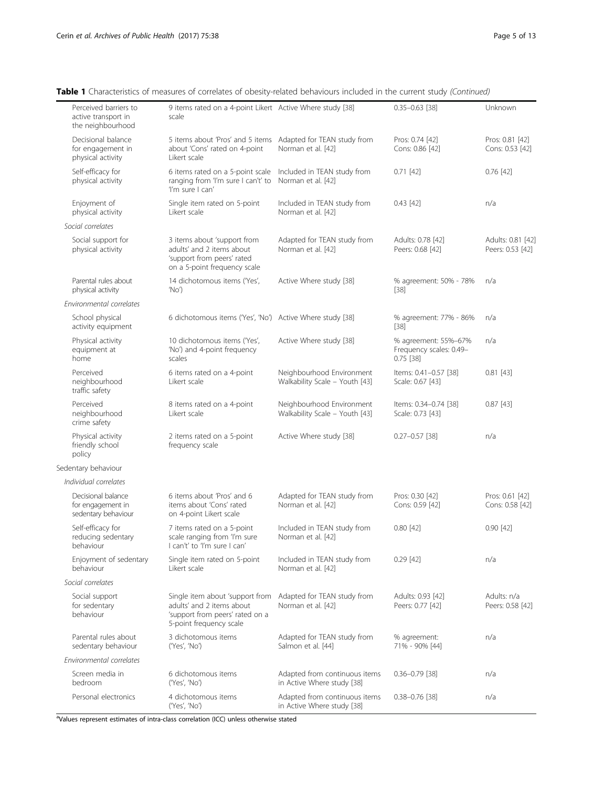| Perceived barriers to<br>active transport in<br>the neighbourhood | 9 items rated on a 4-point Likert Active Where study [38]<br>scale                                                         |                                                             | $0.35 - 0.63$ [38]                                             | <b>Unknown</b>                        |
|-------------------------------------------------------------------|----------------------------------------------------------------------------------------------------------------------------|-------------------------------------------------------------|----------------------------------------------------------------|---------------------------------------|
| Decisional balance<br>for engagement in<br>physical activity      | 5 items about 'Pros' and 5 items<br>about 'Cons' rated on 4-point<br>Likert scale                                          | Adapted for TEAN study from<br>Norman et al. [42]           | Pros: 0.74 [42]<br>Cons: 0.86 [42]                             | Pros: 0.81 [42]<br>Cons: 0.53 [42]    |
| Self-efficacy for<br>physical activity                            | 6 items rated on a 5-point scale<br>ranging from 'I'm sure I can't' to<br>'I'm sure I can'                                 | Included in TEAN study from<br>Norman et al. [42]           | $0.71$ [42]                                                    | 0.76[42]                              |
| Enjoyment of<br>physical activity                                 | Single item rated on 5-point<br>Likert scale                                                                               | Included in TEAN study from<br>Norman et al. [42]           | $0.43$ [42]                                                    | n/a                                   |
| Social correlates                                                 |                                                                                                                            |                                                             |                                                                |                                       |
| Social support for<br>physical activity                           | 3 items about 'support from<br>adults' and 2 items about<br>'support from peers' rated<br>on a 5-point frequency scale     | Adapted for TEAN study from<br>Norman et al. [42]           | Adults: 0.78 [42]<br>Peers: 0.68 [42]                          | Adults: 0.81 [42]<br>Peers: 0.53 [42] |
| Parental rules about<br>physical activity                         | 14 dichotomous items ('Yes',<br>'No')                                                                                      | Active Where study [38]                                     | % agreement: 50% - 78%<br>$[38]$                               | n/a                                   |
| Environmental correlates                                          |                                                                                                                            |                                                             |                                                                |                                       |
| School physical<br>activity equipment                             | 6 dichotomous items ('Yes', 'No') Active Where study [38]                                                                  |                                                             | % agreement: 77% - 86%<br>$[38]$                               | n/a                                   |
| Physical activity<br>equipment at<br>home                         | 10 dichotomous items ('Yes',<br>'No') and 4-point frequency<br>scales                                                      | Active Where study [38]                                     | % agreement: 55%-67%<br>Frequency scales: 0.49-<br>$0.75$ [38] | n/a                                   |
| Perceived<br>neighbourhood<br>traffic safety                      | 6 items rated on a 4-point<br>Likert scale                                                                                 | Neighbourhood Environment<br>Walkability Scale - Youth [43] | Items: 0.41-0.57 [38]<br>Scale: 0.67 [43]                      | $0.81$ [43]                           |
| Perceived<br>neighbourhood<br>crime safety                        | 8 items rated on a 4-point<br>Likert scale                                                                                 | Neighbourhood Environment<br>Walkability Scale - Youth [43] | Items: 0.34-0.74 [38]<br>Scale: 0.73 [43]                      | $0.87$ [43]                           |
| Physical activity<br>friendly school<br>policy                    | 2 items rated on a 5-point<br>frequency scale                                                                              | Active Where study [38]                                     | $0.27 - 0.57$ [38]                                             | n/a                                   |
| Sedentary behaviour                                               |                                                                                                                            |                                                             |                                                                |                                       |
| Individual correlates                                             |                                                                                                                            |                                                             |                                                                |                                       |
| Decisional balance<br>for engagement in<br>sedentary behaviour    | 6 items about 'Pros' and 6<br>items about 'Cons' rated<br>on 4-point Likert scale                                          | Adapted for TEAN study from<br>Norman et al. [42]           | Pros: 0.30 [42]<br>Cons: 0.59 [42]                             | Pros: 0.61 [42]<br>Cons: 0.58 [42]    |
| Self-efficacy for<br>reducing sedentary<br>behaviour              | 7 items rated on a 5-point<br>scale ranging from 'I'm sure<br>I can't' to 'I'm sure I can                                  | Included in TEAN study from<br>Norman et al. [42]           | $0.80$ [42]                                                    | $0.90$ [42]                           |
| Enjoyment of sedentary<br>behaviour                               | Single item rated on 5-point<br>Likert scale                                                                               | Included in TEAN study from<br>Norman et al. [42]           | $0.29$ [42]                                                    | n/a                                   |
| Social correlates                                                 |                                                                                                                            |                                                             |                                                                |                                       |
| Social support<br>for sedentary<br>behaviour                      | Single item about 'support from<br>adults' and 2 items about<br>'support from peers' rated on a<br>5-point frequency scale | Adapted for TEAN study from<br>Norman et al. [42]           | Adults: 0.93 [42]<br>Peers: 0.77 [42]                          | Adults: n/a<br>Peers: 0.58 [42]       |
| Parental rules about<br>sedentary behaviour                       | 3 dichotomous items<br>('Yes', 'No')                                                                                       | Adapted for TEAN study from<br>Salmon et al. [44]           | % agreement:<br>71% - 90% [44]                                 | n/a                                   |
| Environmental correlates                                          |                                                                                                                            |                                                             |                                                                |                                       |
| Screen media in<br>bedroom                                        | 6 dichotomous items<br>('Yes', 'No')                                                                                       | Adapted from continuous items<br>in Active Where study [38] | $0.36 - 0.79$ [38]                                             | n/a                                   |
| Personal electronics                                              | 4 dichotomous items<br>('Yes', 'No')                                                                                       | Adapted from continuous items<br>in Active Where study [38] | $0.38 - 0.76$ [38]                                             | n/a                                   |

Table 1 Characteristics of measures of correlates of obesity-related behaviours included in the current study (Continued)

<sup>a</sup>Values represent estimates of intra-class correlation (ICC) unless otherwise stated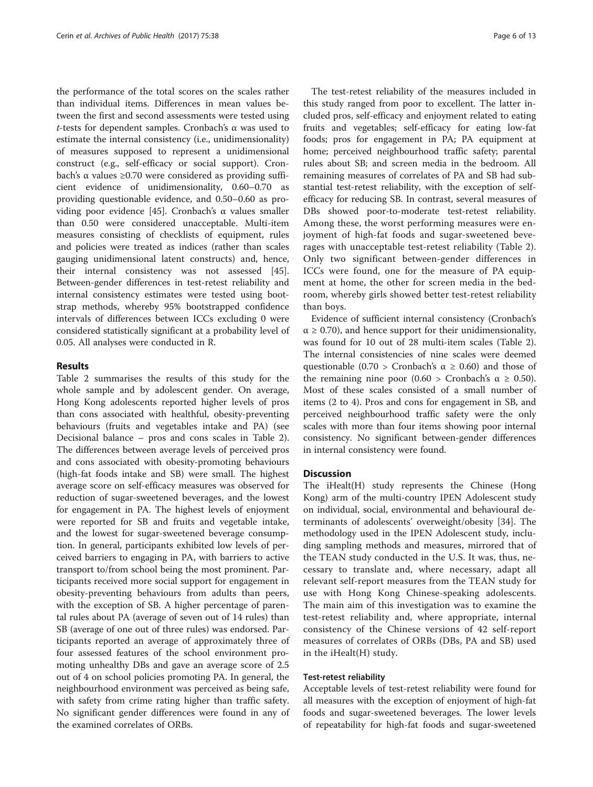the performance of the total scores on the scales rather than individual items. Differences in mean values between the first and second assessments were tested using t-tests for dependent samples. Cronbach's α was used to estimate the internal consistency (i.e., unidimensionality) of measures supposed to represent a unidimensional construct (e.g., self-efficacy or social support). Cronbach's α values ≥0.70 were considered as providing sufficient evidence of unidimensionality, 0.60–0.70 as providing questionable evidence, and 0.50–0.60 as providing poor evidence [[45\]](#page-12-0). Cronbach's α values smaller than 0.50 were considered unacceptable. Multi-item measures consisting of checklists of equipment, rules and policies were treated as indices (rather than scales gauging unidimensional latent constructs) and, hence, their internal consistency was not assessed [\[45](#page-12-0)]. Between-gender differences in test-retest reliability and internal consistency estimates were tested using bootstrap methods, whereby 95% bootstrapped confidence intervals of differences between ICCs excluding 0 were considered statistically significant at a probability level of 0.05. All analyses were conducted in R.

## Results

Table [2](#page-6-0) summarises the results of this study for the whole sample and by adolescent gender. On average, Hong Kong adolescents reported higher levels of pros than cons associated with healthful, obesity-preventing behaviours (fruits and vegetables intake and PA) (see Decisional balance – pros and cons scales in Table [2](#page-6-0)). The differences between average levels of perceived pros and cons associated with obesity-promoting behaviours (high-fat foods intake and SB) were small. The highest average score on self-efficacy measures was observed for reduction of sugar-sweetened beverages, and the lowest for engagement in PA. The highest levels of enjoyment were reported for SB and fruits and vegetable intake, and the lowest for sugar-sweetened beverage consumption. In general, participants exhibited low levels of perceived barriers to engaging in PA, with barriers to active transport to/from school being the most prominent. Participants received more social support for engagement in obesity-preventing behaviours from adults than peers, with the exception of SB. A higher percentage of parental rules about PA (average of seven out of 14 rules) than SB (average of one out of three rules) was endorsed. Participants reported an average of approximately three of four assessed features of the school environment promoting unhealthy DBs and gave an average score of 2.5 out of 4 on school policies promoting PA. In general, the neighbourhood environment was perceived as being safe, with safety from crime rating higher than traffic safety. No significant gender differences were found in any of the examined correlates of ORBs.

The test-retest reliability of the measures included in this study ranged from poor to excellent. The latter included pros, self-efficacy and enjoyment related to eating fruits and vegetables; self-efficacy for eating low-fat foods; pros for engagement in PA; PA equipment at home; perceived neighbourhood traffic safety; parental rules about SB; and screen media in the bedroom. All remaining measures of correlates of PA and SB had substantial test-retest reliability, with the exception of selfefficacy for reducing SB. In contrast, several measures of DBs showed poor-to-moderate test-retest reliability. Among these, the worst performing measures were enjoyment of high-fat foods and sugar-sweetened beverages with unacceptable test-retest reliability (Table [2](#page-6-0)). Only two significant between-gender differences in ICCs were found, one for the measure of PA equipment at home, the other for screen media in the bedroom, whereby girls showed better test-retest reliability than boys.

Evidence of sufficient internal consistency (Cronbach's  $\alpha \geq 0.70$ ), and hence support for their unidimensionality, was found for 10 out of 28 multi-item scales (Table [2](#page-6-0)). The internal consistencies of nine scales were deemed questionable (0.70 > Cronbach's  $\alpha \geq 0.60$ ) and those of the remaining nine poor (0.60 > Cronbach's α  $\geq$  0.50). Most of these scales consisted of a small number of items (2 to 4). Pros and cons for engagement in SB, and perceived neighbourhood traffic safety were the only scales with more than four items showing poor internal consistency. No significant between-gender differences in internal consistency were found.

## **Discussion**

The iHealt(H) study represents the Chinese (Hong Kong) arm of the multi-country IPEN Adolescent study on individual, social, environmental and behavioural determinants of adolescents' overweight/obesity [[34\]](#page-12-0). The methodology used in the IPEN Adolescent study, including sampling methods and measures, mirrored that of the TEAN study conducted in the U.S. It was, thus, necessary to translate and, where necessary, adapt all relevant self-report measures from the TEAN study for use with Hong Kong Chinese-speaking adolescents. The main aim of this investigation was to examine the test-retest reliability and, where appropriate, internal consistency of the Chinese versions of 42 self-report measures of correlates of ORBs (DBs, PA and SB) used in the iHealt(H) study.

## Test-retest reliability

Acceptable levels of test-retest reliability were found for all measures with the exception of enjoyment of high-fat foods and sugar-sweetened beverages. The lower levels of repeatability for high-fat foods and sugar-sweetened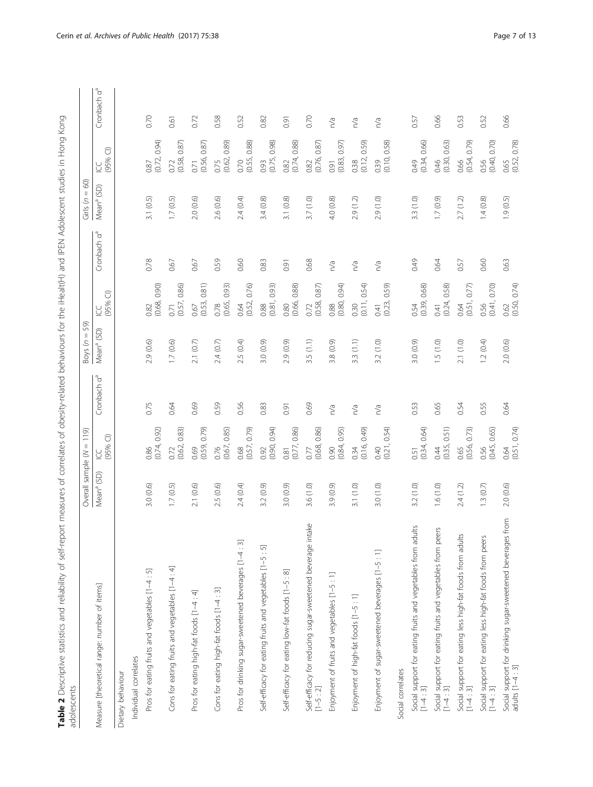Table 2 Descriptive statistics and reliability of self-report measures of correlates of obesity-related behaviours for the iHealt(H) and IPEN Adolescent studies in Hong Kong Table 2 Descriptive statistics and reliability of self-report measures of correlates of obesity-related behaviours for the iHealt(H) and IPEN Adolescent studies in Hong Kong

<span id="page-6-0"></span>

| adolescents                                                                        |                        |                           |                         |                                             |                           |                         |                        |                                   |                         |
|------------------------------------------------------------------------------------|------------------------|---------------------------|-------------------------|---------------------------------------------|---------------------------|-------------------------|------------------------|-----------------------------------|-------------------------|
|                                                                                    | Overall sample (N      | $= 119$                   |                         | 59)<br>$\ensuremath{\mathsf{H}}$<br>Boys (n |                           |                         | $= 60$<br>Girls $(n :$ |                                   |                         |
| Measure [theoretical range: number of items]                                       | Mean <sup>a</sup> (SD) | $(95%$ Cl)<br>$\subseteq$ | Cronbach q <sup>a</sup> | Mean <sup>a</sup> (SD)                      | ICC<br>(95% CI)           | Cronbach d <sup>a</sup> | Mean <sup>a</sup> (SD) | $\widehat{\cup}$<br>ICC<br>(95%   | Cronbach d <sup>a</sup> |
| Dietary behaviour                                                                  |                        |                           |                         |                                             |                           |                         |                        |                                   |                         |
| Individual correlates                                                              |                        |                           |                         |                                             |                           |                         |                        |                                   |                         |
| Pros for eating fruits and vegetables [1-4 : 5]                                    | 3.0 (0.6)              | (560)<br>(0.74,<br>0.86   | 0.75                    | 2.9 (0.6)                                   | (0.90)<br>(0.68,<br>0.82  | 0.78                    | 3.1(0.5)               | 0.94<br>(0.72,<br>0.87            | 0.70                    |
| Cons for eating fruits and vegetables [1-4 : 4]                                    | 1.7(0.5)               | 0.83)<br>(0.62,<br>0.72   | 0.64                    | 1.7(0.6)                                    | 0.86)<br>(0.57,<br>0.71   | 0.67                    | 1.7(0.5)               | 0.87<br>(0.58)<br>0.72            | 0.61                    |
| Pros for eating high-fat foods [1-4 : 4]                                           | 2.1(0.6)               | 0.79<br>(0.59,<br>0.69    | 0.69                    | 2.1 (0.7)                                   | (0.53, 0.81)<br>0.67      | 0.67                    | 2.0(0.6)               | 0.87<br>(0.56,<br>0.71            | 0.72                    |
| Cons for eating high-fat foods [1-4:3]                                             | 2.5(0.6)               | (0.67, 0.85)<br>0.76      | 0.59                    | 2.4(0.7)                                    | (0.65, 0.93)<br>0.78      | 0.59                    | 2.6(0.6)               | 0.89<br>(0.62,<br>0.75            | 0.58                    |
| Pros for drinking sugar-sweetened beverages [1-4 : 3]                              | 2.4 (0.4)              | 0.68<br>(0.57, 0.79)      | 0.56                    | 2.5 (0.4)                                   | 0.76)<br>0.64<br>(0.52,   | 0.60                    | 2.4 (0.4)              | 0.88)<br>$0.70$<br>$(0.55,$       | 0.52                    |
| Self-efficacy for eating fruits and vegetables [1-5 : 5]                           | 3.2(0.9)               | (1, 94)<br>(0.90,<br>0.92 | 0.83                    | 3.0 (0.9)                                   | (0.81, 0.93)<br>0.88      | 0.83                    | 3.4(0.8)               | 0.98<br>$0.93$<br>$(0.75,$        | 0.82                    |
| Self-efficacy for eating low-fat foods [1-5 : 8]                                   | 3.0(0.9)               | (0.77, 0.86)<br>$0.81\,$  | 0.91                    | 2.9 (0.9)                                   | 0.88)<br>(0.66,<br>0.80   | 0.91                    | 3.1(0.8)               | 0.88)<br>$0.82$<br>$(0.74,$       | 0.91                    |
| Self-efficacy for reducing sugar-sweetened beverage intake<br>$[1 - 5 : 2]$        | 3.6(1.0)               | 0.86)<br>(0.68,<br>0.77   | 0.69                    | 3.5(1.1)                                    | $0.87)$<br>(0.58,<br>0.72 | 0.68                    | 3.7(1.0)               | 0.87<br>(0.76,<br>0.82            | 0.70                    |
| Enjoyment of fruits and vegetables [1-5:1]                                         | 3.9 (0.9)              | 0.95)<br>(0.84,<br>0.90   | n/a                     | 3.8 (0.9)                                   | (1, 94)<br>(0.80,<br>0.88 | n/a                     | 4.0 (0.8)              | (50, 0)<br>(0.83,<br>0.91         | n/a                     |
| Enjoyment of high-fat foods [1-5:1]                                                | 3.1(1.0)               | (64.0)<br>(0.16,<br>0.34  | n/a                     | 3.3(1.1)                                    | (0.11, 0.54)<br>0.30      | n/a                     | 2.9(1.2)               | 0.59<br>(0.12,<br>0.38            | n/a                     |
| Enjoyment of sugar-sweetened beverages [1-5 : 1]                                   | 3.0(1.0)               | (0.21, 0.54)<br>0.40      | n/a                     | 3.2(1.0)                                    | (0.23, 0.59)<br>0.41      | n/a                     | 2.9(1.0)               | 0.58<br>(0.10,<br>0.39            | n/a                     |
| Social correlates                                                                  |                        |                           |                         |                                             |                           |                         |                        |                                   |                         |
| Social support for eating fruits and vegetables from adults<br>[1–4 : 3]           | 3.2(1.0)               | (0.34, 0.64)<br>0.51      | 0.53                    | 3.0 (0.9)                                   | (0.39, 0.68)<br>0.54      | 0.49                    | 3.3(1.0)               | 0.66)<br>$0.49$<br>$(0.34, 0.34)$ | 0.57                    |
| Social support for eating fruits and vegetables from peers<br>$[1 - 4 : 3]$        | 1.6(1.0)               | (0.35, 0.51)<br>0.44      | 0.65                    | 1.5(1.0)                                    | (0.24, 0.58)<br>0.41      | 0.64                    | 1.7(0.9)               | 0.63)<br>(0.30,<br>0.46           | 0.66                    |
| Social support for eating less high-fat foods from adults<br>[1-4 : 3]             | 2.4(1.2)               | (0.56, 0.73)<br>0.65      | 0.54                    | 2.1(1.0)                                    | $0.64$<br>$(0.51, 0.77)$  | 0.57                    | 2.7(1.2)               | (62.0)<br>0.66<br>(0.54,          | 0.53                    |
| Social support for eating less high-fat foods from peers<br>$[1 - 4 : 3]$          | 1.3(0.7)               | 0.65)<br>(0.45,<br>0.56   | 0.55                    | 1.2(0.4)                                    | (0.41, 0.70)<br>0.56      | 0.60                    | 1.4(0.8)               | 0.70)<br>(0.40,<br>0.56           | 0.52                    |
| mo<br>Social support for drinking sugar-sweetened beverages fr<br>adults $[1-4:3]$ | 2.0(0.6)               | $0.64$<br>$(0.51, 0.74)$  | 0.64                    | 2.0(0.6)                                    | (0.50, 0.74)<br>0.62      | 0.63                    | 1.9(0.5)               | 0.65<br>(0.52, 0.78)              | 0.66                    |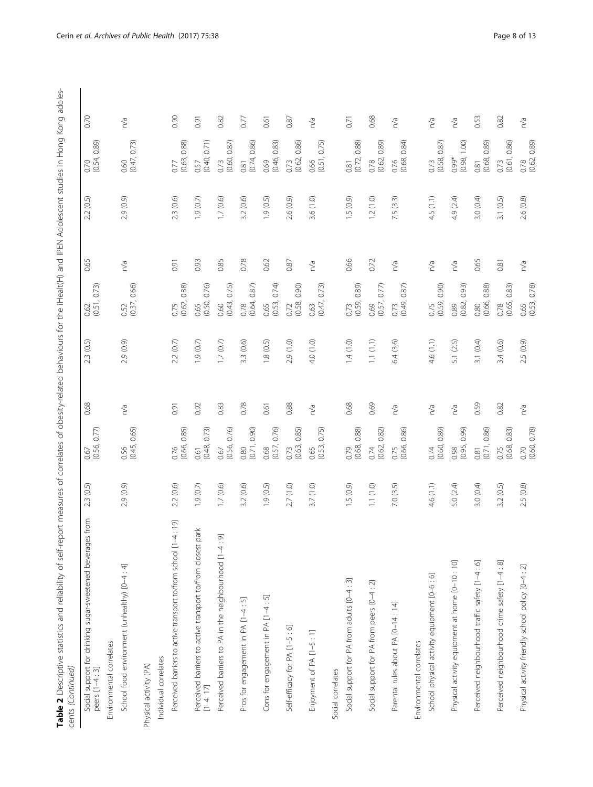Table 2 Descriptive statistics and reliability of self-report measures of correlates of obestiy-related behaviours for the iHealt(H) and IPEN Adolescent studies in Hong Kong adoles-Table 2 Descriptive statistics and reliability of self-report measures of correlates of obesity-related behaviours for the iHealt(H) and IPEN Adolesent studies in Hong Adoles-

| cents (Continued)                                                                |           |                          |      |                           |                             |      |           |                             |                |  |
|----------------------------------------------------------------------------------|-----------|--------------------------|------|---------------------------|-----------------------------|------|-----------|-----------------------------|----------------|--|
| from<br>Social support for drinking sugar-sweetened beverages<br>peers $[1-4:3]$ | 2.3(0.5)  | (0.56, 0.77)<br>0.67     | 0.68 | 2.3(0.5)                  | (0.51, 0.73)<br>0.62        | 0.65 | 2.2(0.5)  | (0.54, 0.89)<br>0.70        | 0.70           |  |
| Environmental correlates                                                         |           |                          |      |                           |                             |      |           |                             |                |  |
| School food environment (unhealthy) [0-4:4]                                      | 2.9 (0.9) | (0.45, 0.65)<br>0.56     | n/a  | 2.9 (0.9)                 | (0.37, 0.66)<br>0.52        | n/a  | 2.9 (0.9) | (0.47, 0.73)<br>0.60        | n/a            |  |
| Physical activity (PA)                                                           |           |                          |      |                           |                             |      |           |                             |                |  |
| Individual correlates                                                            |           |                          |      |                           |                             |      |           |                             |                |  |
| $\frac{1}{2}$<br>Perceived barriers to active transport to/from school [1-4      | 2.2(0.6)  | (0.66, 0.85)<br>0.76     | 0.91 | 2.2 (0.7)                 | (0.62, 0.88)<br>0.75        | 0.91 | 2.3(0.6)  | (0.63, 0.88)<br>0.77        | 0.90           |  |
| 폰<br>Perceived barriers to active transport to/from closest pa<br>$[1-4:17]$     | 1.9(0.7)  | 0.73)<br>(0.48,<br>0.61  | 0.92 | 1.9(0.7)                  | 0.76)<br>(0.50)<br>0.65     | 0.93 | 1.9(0.7)  | 0.71)<br>(0.40,<br>0.57     | 0.91           |  |
| Perceived barriers to PA in the neighbourhood [1-4 : 9]                          | 1.7(0.6)  | (0.56, 0.76)<br>0.67     | 0.83 | (0.7)<br>$\overline{1}$   | (0.43, 0.75)<br>0.60        | 0.85 | 1.7(0.6)  | 0.87)<br>$0.73$<br>$(0.60)$ | 0.82           |  |
| Pros for engagement in PA [1-4:5]                                                | 3.2(0.6)  | $0.80$<br>$(0.71, 0.90)$ | 0.78 | (0.6)<br>3.3              | (0.64, 0.87)<br>0.78        | 0.78 | 3.2(0.6)  | 0.86)<br>(0.74,<br>0.81     | 0.77           |  |
| Cons for engagement in PA [1-4 : 5]                                              | 1.9(0.5)  | 0.76)<br>0.68<br>(0.57,  | 0.61 | 1.8(0.5)                  | 0.74)<br>$0.65$<br>$(0.53)$ | 0.62 | 1.9(0.5)  | 0.83)<br>0.69<br>(0.46,     | 0.61           |  |
| Self-efficacy for PA [1-5 : 6]                                                   | 2.7(1.0)  | (0.63, 0.85)<br>0.73     | 0.88 | 2.9 (1.0)                 | (0.58, 0.90)<br>0.72        | 0.87 | 2.6(0.9)  | (0.62, 0.86)<br>0.73        | 0.87           |  |
| Enjoyment of PA [1-5:1]                                                          | 3.7(1.0)  | (0.53, 0.75)<br>0.65     | n/a  | 4.0 (1.0)                 | (0.47, 0.73)<br>0.63        | n/a  | 3.6 (1.0) | 0.66<br>(0.51, 0.75)        | n/a            |  |
| Social correlates                                                                |           |                          |      |                           |                             |      |           |                             |                |  |
| Social support for PA from adults [0-4 : 3]                                      | 1.5(0.9)  | (0.68, 0.88)<br>0.79     | 0.68 | 1.4(1.0)                  | $0.73$<br>$(0.59, 0.89)$    | 0.66 | 1.5(0.9)  | (0.72, 0.88)<br>0.81        | $\overline{0}$ |  |
| Social support for PA from peers [0-4 : 2]                                       | 1.1(1.0)  | (0.62, 0.82)<br>0.74     | 0.69 | 1.1(1.1)                  | (0.57, 0.77)<br>0.69        | 0.72 | 1.2(1.0)  | $0.78$<br>$(0.62, 0.89)$    | 0.68           |  |
| Parental rules about PA [0-14 : 14]                                              | 7.0(3.5)  | 0.75<br>(0.66, 0.86)     | n/a  | 6.4 (3.6)                 | $0.73$<br>$(0.49, 0.87)$    | n/a  | 7.5(3.3)  | $0.76$<br>$(0.68, 0.84)$    | n/a            |  |
| Environmental correlates                                                         |           |                          |      |                           |                             |      |           |                             |                |  |
| School physical activity equipment [0-6 : 6]                                     | 4.6 (1.1) | (0.60, 0.89)<br>0.74     | n/a  | 4.6 (1.1)                 | (0.59, 0.90)<br>0.75        | n/a  | 4.5(1.1)  | $0.73$<br>$(0.58, 0.87)$    | n/a            |  |
| Physical activity equipment at home [0-10:10]                                    | 5.0 (2.4) | 0.98<br>(0.95, 0.99)     | n/a  | 5.1 (2.5)                 | (0.82, 0.93)<br>0.89        | n/a  | 4.9 (2.4) | $0.99*$<br>$(0.98, 1.00)$   | n/a            |  |
| Perceived neighbourhood traffic safety [1-4 : 6]                                 | 3.0(0.4)  | (0.71, 0.86)<br>0.81     | 0.59 | (0.4)<br>$\overline{3}$ . | (0.66, 0.88)<br>0.80        | 0.65 | 3.0(0.4)  | 0.89)<br>(0.68,<br>0.81     | 0.53           |  |
| Perceived neighbourhood crime safety [1-4:8]                                     | 3.2(0.5)  | (0.68, 0.83)<br>0.75     | 0.82 | 3.4 (0.6)                 | $\frac{0.78}{(0.65, 0.83)}$ | 0.81 | 3.1(0.5)  | $0.73$<br>$(0.61, 0.86)$    | 0.82           |  |
| Physical activity friendly school policy [0-4 : 2]                               | 2.5(0.8)  | (0.60, 0.78)<br>0.70     | n/a  | 2.5 (0.9)                 | (0.53, 0.78)<br>0.65        | n/a  | 2.6(0.8)  | $0.78$<br>$(0.62, 0.89)$    | n/a            |  |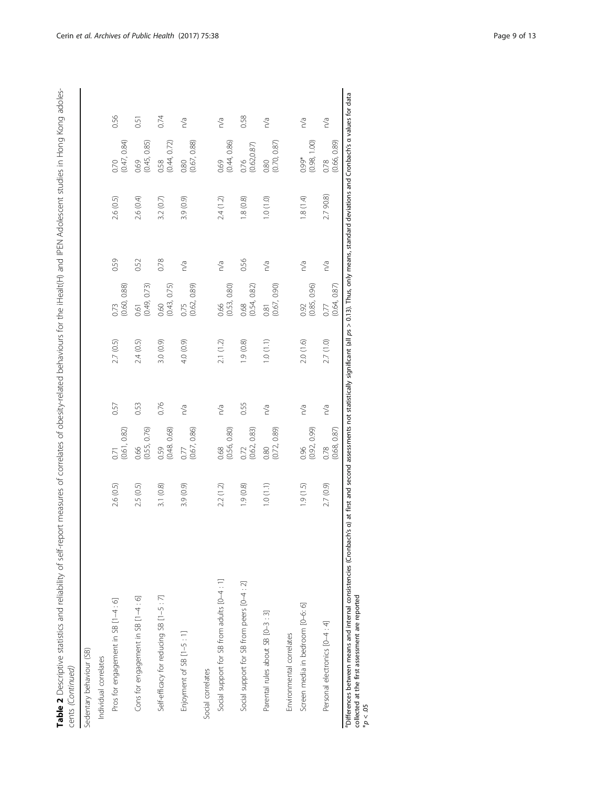Table 2 Descriptive statistics and reliability of self-report measures of correlates of obesity-related behaviours for the iHealt(H) and IPEN Adolescent studies in Hong Kong adoles-<br>cents (Continued)<br>Sedentary behaviour (S Table 2 Descriptive statistics and reliability of self-report measures of correlates of obesity-related behaviours for the iHealt(H) and IPEN Adolesent studies in Hong Adolescents (Continued)

| Sedentary behaviour (SB)                                                                                                                                                                                                                                                                                  |           |                          |      |           |                          |            |           |                           |      |
|-----------------------------------------------------------------------------------------------------------------------------------------------------------------------------------------------------------------------------------------------------------------------------------------------------------|-----------|--------------------------|------|-----------|--------------------------|------------|-----------|---------------------------|------|
| Individual correlates                                                                                                                                                                                                                                                                                     |           |                          |      |           |                          |            |           |                           |      |
| Pros for engagement in SB [1-4 : 6]                                                                                                                                                                                                                                                                       | 2.6 (0.5) | (0.61, 0.82)<br>0.71     | 0.57 | 2.7(0.5)  | (0.60, 0.88)<br>0.73     | 0.59       | 2.6 (0.5) | (0.47, 0.84)<br>0.70      | 0.56 |
| Cons for engagement in SB [1-4 : 6]                                                                                                                                                                                                                                                                       | 2.5(0.5)  | (0.55, 0.76)<br>0.66     | 0.53 | 2.4(0.5)  | (0.49, 0.73)<br>0.61     | 0.52       | 2.6(0.4)  | (0.45, 0.85)<br>0.69      | 0.51 |
| Self-efficacy for reducing SB [1-5 : 7]                                                                                                                                                                                                                                                                   | 3.1(0.8)  | (0.48.0.68)<br>0.59      | 0.76 | 3.0 (0.9) | (0.43, 0.75)<br>0.60     | 0.78       | 3.2(0.7)  | (0.44, 0.72)<br>0.58      | 0.74 |
| Enjoyment of SB [1-5:1]                                                                                                                                                                                                                                                                                   | 3.9(0.9)  | (0.67, 0.86)<br>0.77     | n/a  | 4.0 (0.9) | $0.75$<br>$(0.62, 0.89)$ | n/a        | 3.9 (0.9) | (0.67, 0.88)<br>0.80      | n/a  |
| Social correlates                                                                                                                                                                                                                                                                                         |           |                          |      |           |                          |            |           |                           |      |
| Social support for SB from adults [0-4 : 1]                                                                                                                                                                                                                                                               | 2.2(1.2)  | 0.68<br>(0.56, 0.80)     | n/a  | 2.1(1.2)  | 0.66<br>(0.53, 0.80)     | n/a        | 2.4(1.2)  | $0.69$<br>$(0.44, 0.86)$  | n/a  |
| Social support for SB from peers [0-4 : 2]                                                                                                                                                                                                                                                                | 1.9(0.8)  | $0.72$<br>$(0.62, 0.83)$ | 0.55 | 1.9(0.8)  | $0.68$<br>$(0.54, 0.82)$ | 0.56       | 1.8(0.8)  | $0.76$<br>$(0.62, 0.87)$  | 0.58 |
| Parental rules about SB [0-3:3]                                                                                                                                                                                                                                                                           | 1.0(1.1)  | (0.72, 0.89)<br>0.80     | n/a  | 1.0(1.1)  | (0.67, 0.90)<br>0.81     | $\sqrt{a}$ | 1.0(1.0)  | (0.70, 0.87)<br>0.80      | n/a  |
| Environmental correlates                                                                                                                                                                                                                                                                                  |           |                          |      |           |                          |            |           |                           |      |
| Screen media in bedroom [0-6: 6]                                                                                                                                                                                                                                                                          | 1.9(1.5)  | 0.96<br>(0.92, 0.99)     | n/a  | 2.0(1.6)  | $0.92$<br>$(0.85, 0.96)$ | n/a        | 1.8(1.4)  | $0.99*$<br>$(0.98, 1.00)$ | n/a  |
| Personal electronics [0-4:4]                                                                                                                                                                                                                                                                              | 2.7(0.9)  | (0.68, 0.87)<br>0.78     | n/a  | 2.7(1.0)  | (0.64, 0.87)<br>0.77     | n/a        | 2.7 90.8) | (0.66, 0.89)<br>0.78      | n/a  |
| <sup>a</sup> Differences between means and internal consistencies (Cronbach's c) at first and second assessments not statistically significant (all ps > 0.13). Thus, only means, standard deviations and Cronbach's q values for data<br>collected at the first assessment are reported<br>$50 \geq d_*$ |           |                          |      |           |                          |            |           |                           |      |

Cerin et al. Archives of Public Health (2017) 75:38 Page 9 of 13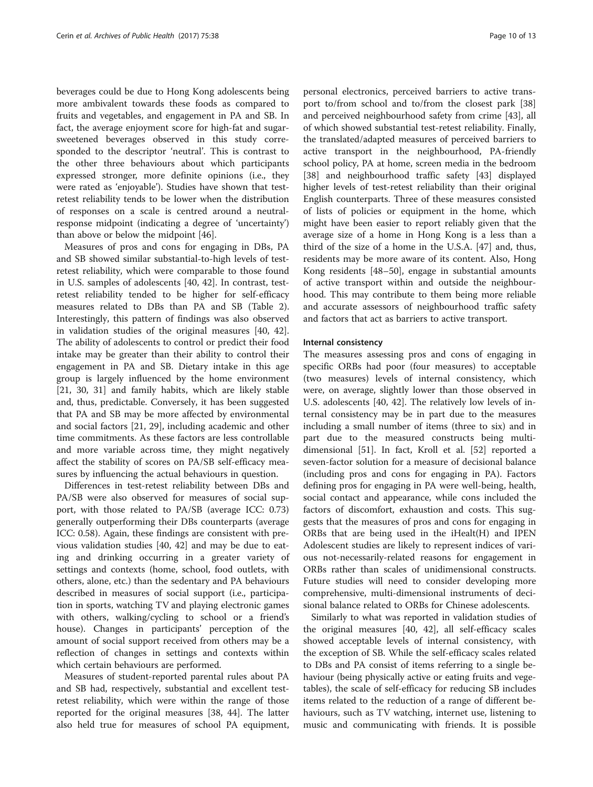beverages could be due to Hong Kong adolescents being more ambivalent towards these foods as compared to fruits and vegetables, and engagement in PA and SB. In fact, the average enjoyment score for high-fat and sugarsweetened beverages observed in this study corresponded to the descriptor 'neutral'. This is contrast to the other three behaviours about which participants expressed stronger, more definite opinions (i.e., they were rated as 'enjoyable'). Studies have shown that testretest reliability tends to be lower when the distribution of responses on a scale is centred around a neutralresponse midpoint (indicating a degree of 'uncertainty') than above or below the midpoint [\[46](#page-12-0)].

Measures of pros and cons for engaging in DBs, PA and SB showed similar substantial-to-high levels of testretest reliability, which were comparable to those found in U.S. samples of adolescents [[40, 42](#page-12-0)]. In contrast, testretest reliability tended to be higher for self-efficacy measures related to DBs than PA and SB (Table [2](#page-6-0)). Interestingly, this pattern of findings was also observed in validation studies of the original measures [[40, 42](#page-12-0)]. The ability of adolescents to control or predict their food intake may be greater than their ability to control their engagement in PA and SB. Dietary intake in this age group is largely influenced by the home environment [[21, 30, 31\]](#page-12-0) and family habits, which are likely stable and, thus, predictable. Conversely, it has been suggested that PA and SB may be more affected by environmental and social factors [[21, 29\]](#page-12-0), including academic and other time commitments. As these factors are less controllable and more variable across time, they might negatively affect the stability of scores on PA/SB self-efficacy measures by influencing the actual behaviours in question.

Differences in test-retest reliability between DBs and PA/SB were also observed for measures of social support, with those related to PA/SB (average ICC: 0.73) generally outperforming their DBs counterparts (average ICC: 0.58). Again, these findings are consistent with previous validation studies [\[40, 42\]](#page-12-0) and may be due to eating and drinking occurring in a greater variety of settings and contexts (home, school, food outlets, with others, alone, etc.) than the sedentary and PA behaviours described in measures of social support (i.e., participation in sports, watching TV and playing electronic games with others, walking/cycling to school or a friend's house). Changes in participants' perception of the amount of social support received from others may be a reflection of changes in settings and contexts within which certain behaviours are performed.

Measures of student-reported parental rules about PA and SB had, respectively, substantial and excellent testretest reliability, which were within the range of those reported for the original measures [[38, 44](#page-12-0)]. The latter also held true for measures of school PA equipment,

personal electronics, perceived barriers to active transport to/from school and to/from the closest park [[38](#page-12-0)] and perceived neighbourhood safety from crime [[43](#page-12-0)], all of which showed substantial test-retest reliability. Finally, the translated/adapted measures of perceived barriers to active transport in the neighbourhood, PA-friendly school policy, PA at home, screen media in the bedroom [[38\]](#page-12-0) and neighbourhood traffic safety [\[43](#page-12-0)] displayed higher levels of test-retest reliability than their original English counterparts. Three of these measures consisted

of lists of policies or equipment in the home, which might have been easier to report reliably given that the average size of a home in Hong Kong is a less than a third of the size of a home in the U.S.A. [\[47](#page-12-0)] and, thus, residents may be more aware of its content. Also, Hong Kong residents [[48](#page-12-0)–[50\]](#page-12-0), engage in substantial amounts of active transport within and outside the neighbourhood. This may contribute to them being more reliable and accurate assessors of neighbourhood traffic safety and factors that act as barriers to active transport.

## Internal consistency

The measures assessing pros and cons of engaging in specific ORBs had poor (four measures) to acceptable (two measures) levels of internal consistency, which were, on average, slightly lower than those observed in U.S. adolescents [\[40, 42](#page-12-0)]. The relatively low levels of internal consistency may be in part due to the measures including a small number of items (three to six) and in part due to the measured constructs being multidimensional [[51\]](#page-12-0). In fact, Kroll et al. [[52\]](#page-12-0) reported a seven-factor solution for a measure of decisional balance (including pros and cons for engaging in PA). Factors defining pros for engaging in PA were well-being, health, social contact and appearance, while cons included the factors of discomfort, exhaustion and costs. This suggests that the measures of pros and cons for engaging in ORBs that are being used in the iHealt(H) and IPEN Adolescent studies are likely to represent indices of various not-necessarily-related reasons for engagement in ORBs rather than scales of unidimensional constructs. Future studies will need to consider developing more comprehensive, multi-dimensional instruments of decisional balance related to ORBs for Chinese adolescents.

Similarly to what was reported in validation studies of the original measures [[40](#page-12-0), [42](#page-12-0)], all self-efficacy scales showed acceptable levels of internal consistency, with the exception of SB. While the self-efficacy scales related to DBs and PA consist of items referring to a single behaviour (being physically active or eating fruits and vegetables), the scale of self-efficacy for reducing SB includes items related to the reduction of a range of different behaviours, such as TV watching, internet use, listening to music and communicating with friends. It is possible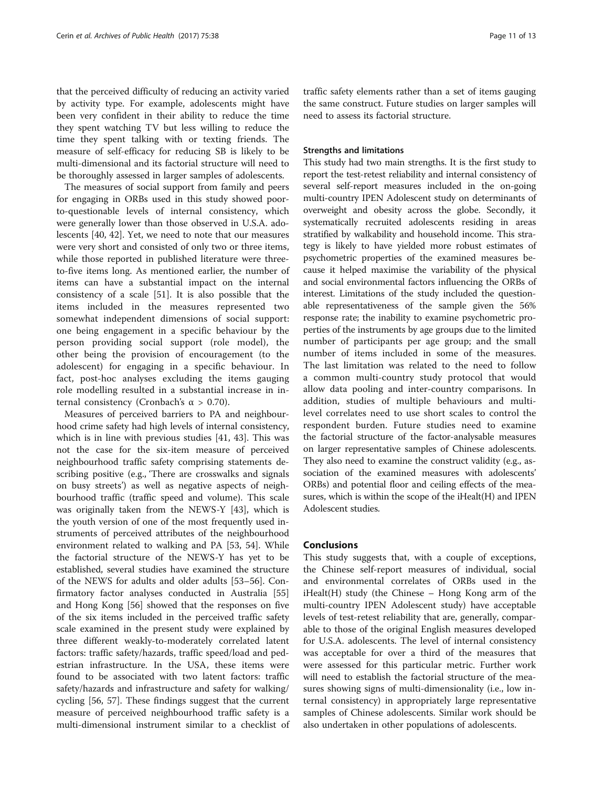that the perceived difficulty of reducing an activity varied by activity type. For example, adolescents might have been very confident in their ability to reduce the time they spent watching TV but less willing to reduce the time they spent talking with or texting friends. The measure of self-efficacy for reducing SB is likely to be multi-dimensional and its factorial structure will need to be thoroughly assessed in larger samples of adolescents.

The measures of social support from family and peers for engaging in ORBs used in this study showed poorto-questionable levels of internal consistency, which were generally lower than those observed in U.S.A. adolescents [[40, 42\]](#page-12-0). Yet, we need to note that our measures were very short and consisted of only two or three items, while those reported in published literature were threeto-five items long. As mentioned earlier, the number of items can have a substantial impact on the internal consistency of a scale [\[51](#page-12-0)]. It is also possible that the items included in the measures represented two somewhat independent dimensions of social support: one being engagement in a specific behaviour by the person providing social support (role model), the other being the provision of encouragement (to the adolescent) for engaging in a specific behaviour. In fact, post-hoc analyses excluding the items gauging role modelling resulted in a substantial increase in internal consistency (Cronbach's  $\alpha > 0.70$ ).

Measures of perceived barriers to PA and neighbourhood crime safety had high levels of internal consistency, which is in line with previous studies [\[41](#page-12-0), [43\]](#page-12-0). This was not the case for the six-item measure of perceived neighbourhood traffic safety comprising statements describing positive (e.g., 'There are crosswalks and signals on busy streets') as well as negative aspects of neighbourhood traffic (traffic speed and volume). This scale was originally taken from the NEWS-Y [[43\]](#page-12-0), which is the youth version of one of the most frequently used instruments of perceived attributes of the neighbourhood environment related to walking and PA [[53](#page-12-0), [54](#page-12-0)]. While the factorial structure of the NEWS-Y has yet to be established, several studies have examined the structure of the NEWS for adults and older adults [\[53](#page-12-0)–[56\]](#page-12-0). Confirmatory factor analyses conducted in Australia [[55](#page-12-0)] and Hong Kong [[56\]](#page-12-0) showed that the responses on five of the six items included in the perceived traffic safety scale examined in the present study were explained by three different weakly-to-moderately correlated latent factors: traffic safety/hazards, traffic speed/load and pedestrian infrastructure. In the USA, these items were found to be associated with two latent factors: traffic safety/hazards and infrastructure and safety for walking/ cycling [[56, 57](#page-12-0)]. These findings suggest that the current measure of perceived neighbourhood traffic safety is a multi-dimensional instrument similar to a checklist of traffic safety elements rather than a set of items gauging the same construct. Future studies on larger samples will need to assess its factorial structure.

## Strengths and limitations

This study had two main strengths. It is the first study to report the test-retest reliability and internal consistency of several self-report measures included in the on-going multi-country IPEN Adolescent study on determinants of overweight and obesity across the globe. Secondly, it systematically recruited adolescents residing in areas stratified by walkability and household income. This strategy is likely to have yielded more robust estimates of psychometric properties of the examined measures because it helped maximise the variability of the physical and social environmental factors influencing the ORBs of interest. Limitations of the study included the questionable representativeness of the sample given the 56% response rate; the inability to examine psychometric properties of the instruments by age groups due to the limited number of participants per age group; and the small number of items included in some of the measures. The last limitation was related to the need to follow a common multi-country study protocol that would allow data pooling and inter-country comparisons. In addition, studies of multiple behaviours and multilevel correlates need to use short scales to control the respondent burden. Future studies need to examine the factorial structure of the factor-analysable measures on larger representative samples of Chinese adolescents. They also need to examine the construct validity (e.g., association of the examined measures with adolescents' ORBs) and potential floor and ceiling effects of the measures, which is within the scope of the iHealt(H) and IPEN Adolescent studies.

## Conclusions

This study suggests that, with a couple of exceptions, the Chinese self-report measures of individual, social and environmental correlates of ORBs used in the iHealt(H) study (the Chinese – Hong Kong arm of the multi-country IPEN Adolescent study) have acceptable levels of test-retest reliability that are, generally, comparable to those of the original English measures developed for U.S.A. adolescents. The level of internal consistency was acceptable for over a third of the measures that were assessed for this particular metric. Further work will need to establish the factorial structure of the measures showing signs of multi-dimensionality (i.e., low internal consistency) in appropriately large representative samples of Chinese adolescents. Similar work should be also undertaken in other populations of adolescents.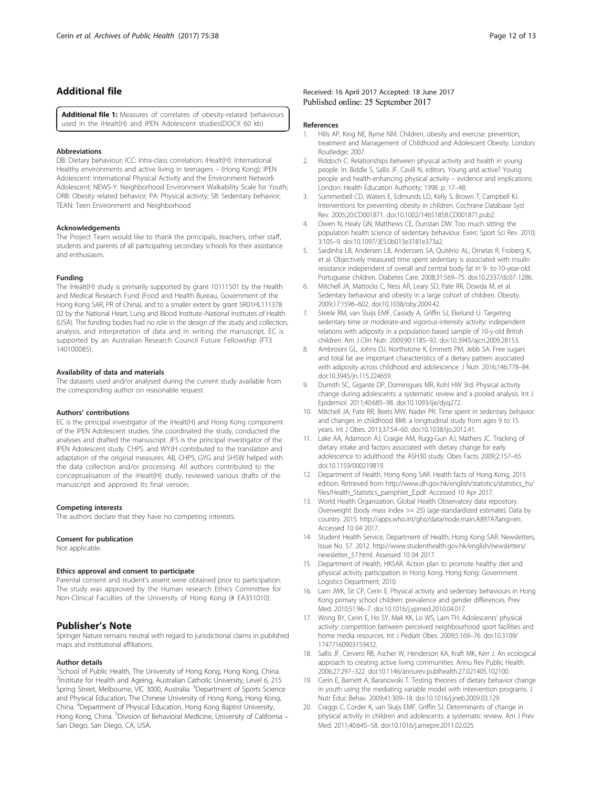## <span id="page-11-0"></span>Additional file

[Additional file 1:](dx.doi.org/10.1186/s13690-017-0209-5) Measures of correlates of obesity-related behaviours used in the iHealt(H) and IPEN Adolescent studies(DOCX 60 kb)

#### Abbreviations

DB: Dietary behaviour; ICC: Intra-class correlation; iHealt(H): International Healthy environments and active living in teenagers – (Hong Kong); IPEN Adolescent: International Physical Activity and the Environment Network Adolescent; NEWS-Y: Neighborhood Environment Walkability Scale for Youth; ORB: Obesity related behavior; PA: Physical activity; SB: Sedentary behavior; TEAN: Teen Environment and Neighborhood

#### Acknowledgements

The Project Team would like to thank the principals, teachers, other staff, students and parents of all participating secondary schools for their assistance and enthusiasm.

### Funding

The iHealt(H) study is primarily supported by grant 10111501 by the Health and Medical Research Fund (Food and Health Bureau, Government of the Hong Kong SAR, PR of China), and to a smaller extent by grant 5R01HL111378 02 by the National Heart, Lung and Blood Institute–National Institutes of Health (USA). The funding bodies had no role in the design of the study and collection, analysis, and interpretation of data and in writing the manuscript. EC is supported by an Australian Research Council Future Fellowship (FT3 140100085).

#### Availability of data and materials

The datasets used and/or analysed during the current study available from the corresponding author on reasonable request.

#### Authors' contributions

EC is the principal investigator of the iHealt(H) and Hong Kong component of the IPEN Adolescent studies. She coordinated the study, conducted the analyses and drafted the manuscript. JFS is the principal investigator of the IPEN Adolescent study. CHPS. and WYJH contributed to the translation and adaptation of the original measures. AB, CHPS, GYG and SHSW helped with the data collection and/or processing. All authors contributed to the conceptualisation of the iHealt(H) study, reviewed various drafts of the manuscript and approved its final version.

#### Competing interests

The authors declare that they have no competing interests.

#### Consent for publication

Not applicable.

#### Ethics approval and consent to participate

Parental consent and student's assent were obtained prior to participation. The study was approved by the Human research Ethics Committee for Non-Clinical Faculties of the University of Hong Kong (# EA351010).

## Publisher's Note

Springer Nature remains neutral with regard to jurisdictional claims in published maps and institutional affiliations.

## Author details

<sup>1</sup>School of Public Health, The University of Hong Kong, Hong Kong, China. 2 Institute for Health and Ageing, Australian Catholic University, Level 6, 215 Spring Street, Melbourne, VIC 3000, Australia. <sup>3</sup>Department of Sports Science and Physical Education, The Chinese University of Hong Kong, Hong Kong, China. <sup>4</sup>Department of Physical Education, Hong Kong Baptist University, Hong Kong, China. <sup>5</sup>Division of Behavioral Medicine, University of California -San Diego, San Diego, CA, USA.

## Received: 16 April 2017 Accepted: 18 June 2017 Published online: 25 September 2017

#### References

- 1. Hills AP, King NE, Byrne NM. Children, obesity and exercise: prevention, treatment and Management of Childhood and Adolescent Obesity. London: Routledge; 2007.
- 2. Riddoch C. Relationships between physical activity and health in young people. In: Biddle S, Sallis JF, Cavill N, editors. Young and active? Young people and health-enhancing physical activity – evidence and implications. London: Health Education Authority; 1998. p. 17–48.
- 3. Summerbell CD, Waters E, Edmunds LD, Kelly S, Brown T, Campbell KJ. Interventions for preventing obesity in children. Cochrane Database Syst Rev. 2005;20:CD001871. doi:[10.1002/14651858.CD001871.pub2](http://dx.doi.org/10.1002/14651858.CD001871.pub2).
- 4. Owen N, Healy GN, Matthews CE, Dunstan DW. Too much sitting: the population health science of sedentary behaviour. Exerc Sport Sci Rev. 2010; 3:105–9. doi[:10.1097/JES.0b013e3181e373a2](http://dx.doi.org/10.1097/JES.0b013e3181e373a2).
- 5. Sardinha LB, Andersen LB, Anderssen SA, Quitério AL, Ornelas R, Froberg K, et al. Objectively measured time spent sedentary is associated with insulin resistance independent of overall and central body fat in 9- to-10-year-old Portuguese children. Diabetes Care. 2008;31:569–75. doi[:10.2337/dc07-1286](http://dx.doi.org/10.2337/dc07-1286).
- 6. Mitchell JA, Mattocks C, Ness AR, Leary SD, Pate RR, Dowda M, et al. Sedentary behaviour and obesity in a large cohort of children. Obesity. 2009;17:1596–602. doi:[10.1038/oby.2009.42](http://dx.doi.org/10.1038/oby.2009.42).
- 7. Steele RM, van Sluijs EMF, Cassidy A, Griffin SJ, Ekelund U. Targeting sedentary time or moderate-and vigorous-intensity activity: independent relations with adiposity in a population based sample of 10-y-old British children. Am J Clin Nutr. 2009;90:1185–92. doi:[10.3945/ajcn.2009.28153.](http://dx.doi.org/10.3945/ajcn.2009.28153)
- 8. Ambrosini GL, Johns DJ, Northstone K, Emmett PM, Jebb SA. Free sugars and total fat are important characteristics of a dietary pattern associated with adiposity across childhood and adolescence. J Nutr. 2016;146:778–84. doi[:10.3945/jn.115.224659](http://dx.doi.org/10.3945/jn.115.224659).
- 9. Dumith SC, Gigante DP, Dominigues MR, Kohl HW 3rd. Physical activity change during adolescents: a systematic review and a pooled analysis. Int J Epidemiol. 2011;40:685–98. doi:[10.1093/ije/dyq272.](http://dx.doi.org/10.1093/ije/dyq272)
- 10. Mitchell JA, Pate RR, Beets MW, Nader PR. Time spent in sedentary behavior and changes in childhood BMI: a longitudinal study from ages 9 to 15 years. Int J Obes. 2013;37:54–60. doi[:10.1038/ijo.2012.41.](http://dx.doi.org/10.1038/ijo.2012.41)
- 11. Lake AA, Adamson AJ, Craigie AM, Rugg-Gun AJ, Mathers JC. Tracking of dietary intake and factors associated with dietary change for early adolescence to adulthood: the ASH30 study. Obes Facts. 2009;2:157–65. doi[:10.1159/000219819.](http://dx.doi.org/10.1159/000219819)
- 12. Department of Health, Hong Kong SAR. Health facts of Hong Kong, 2015 edition. Retrieved from [http://www.dh.gov.hk/english/statistics/statistics\\_hs/](http://www.dh.gov.hk/english/statistics/statistics_hs/files/Health_Statistics_pamphlet_E.pdf) [files/Health\\_Statistics\\_pamphlet\\_E.pdf.](http://www.dh.gov.hk/english/statistics/statistics_hs/files/Health_Statistics_pamphlet_E.pdf) Accessed 10 Apr 2017.
- 13. World Health Organization. Global Health Observatory data repository. Overweight (body mass index >= 25) (age-standardized estimate). Data by country. 2015.<http://apps.who.int/gho/data/node.main.A897A?lang=en>. Accessed 10 04 2017.
- 14. Student Health Service, Department of Health, Hong Kong SAR. Newsletters, Issue No. 57. 2012. [http://www.studenthealth.gov.hk/english/newsletters/](http://www.studenthealth.gov.hk/english/newsletters/newsletter_57.html) [newsletter\\_57.html](http://www.studenthealth.gov.hk/english/newsletters/newsletter_57.html). Assessed 10 04 2017.
- 15. Department of Health, HKSAR. Action plan to promote healthy diet and physical activity participation in Hong Kong. Hong Kong: Government Logistics Department; 2010.
- 16. Lam JWK, Sit CP, Cerin E. Physical activity and sedentary behaviours in Hong Kong primary school children: prevalence and gender differences. Prev Med. 2010;51:96–7. doi[:10.1016/j.ypmed.2010.04.017](http://dx.doi.org/10.1016/j.ypmed.2010.04.017).
- 17. Wong BY, Cerin E, Ho SY, Mak KK, Lo WS, Lam TH. Adolescents' physical activity: competition between perceived neighbourhood sport facilities and home media resources. Int J Pediatr Obes. 2009;5:169–76. doi[:10.3109/](http://dx.doi.org/10.3109/17477160903159432) [17477160903159432.](http://dx.doi.org/10.3109/17477160903159432)
- 18. Sallis JF, Cervero RB, Ascher W, Henderson KA, Kraft MK, Kerr J. An ecological approach to creating active living communities. Annu Rev Public Health. 2006;27:297–322. doi[:10.1146/annurev.publhealth.27.021405.102100.](http://dx.doi.org/10.1146/annurev.publhealth.27.021405.102100)
- 19. Cerin E, Barnett A, Baranowski T. Testing theories of dietary behavior change in youth using the mediating variable model with intervention programs. J Nutr Educ Behav. 2009;41:309–18. doi:[10.1016/j.jneb.2009.03.129.](http://dx.doi.org/10.1016/j.jneb.2009.03.129)
- 20. Craggs C, Corder K, van Sluijs EMF, Griffin SJ. Determinants of change in physical activity in children and adolescents: a systematic review. Am J Prev Med. 2011;40:645–58. doi:[10.1016/j.amepre.2011.02.025.](http://dx.doi.org/10.1016/j.amepre.2011.02.025)